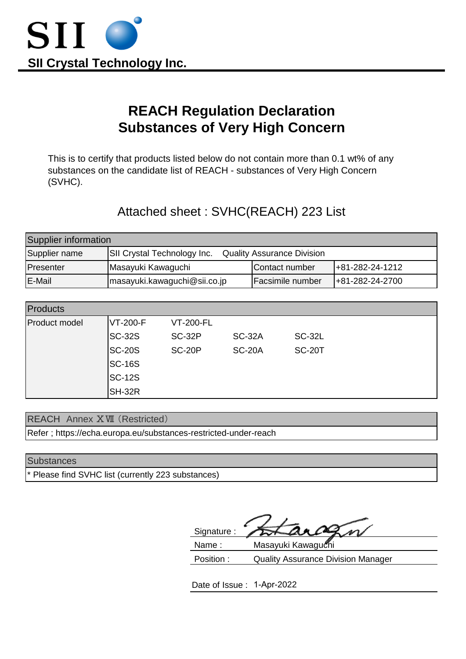

# **REACH Regulation Declaration Substances of Very High Concern**

This is to certify that products listed below do not contain more than 0.1 wt% of any substances on the candidate list of REACH - substances of Very High Concern (SVHC).

## Attached sheet : SVHC(REACH) 223 List

| Supplier information |                                   |                                   |                     |  |  |
|----------------------|-----------------------------------|-----------------------------------|---------------------|--|--|
| Supplier name        | SII Crystal Technology Inc.       | <b>Quality Assurance Division</b> |                     |  |  |
| Presenter            | Masayuki Kawaguchi                | Contact number                    | $ +81-282-24-1212 $ |  |  |
| <b>E-Mail</b>        | $\{$ masayuki.kawaguchi@sii.co.jp | Facsimile number                  | +81-282-24-2700     |  |  |

| <b>Products</b>      |                  |                  |               |               |  |  |
|----------------------|------------------|------------------|---------------|---------------|--|--|
| <b>Product model</b> | <b>IVT-200-F</b> | <b>VT-200-FL</b> |               |               |  |  |
|                      | <b>SC-32S</b>    | <b>SC-32P</b>    | <b>SC-32A</b> | <b>SC-32L</b> |  |  |
|                      | <b>SC-20S</b>    | <b>SC-20P</b>    | <b>SC-20A</b> | <b>SC-20T</b> |  |  |
|                      | <b>SC-16S</b>    |                  |               |               |  |  |
|                      | <b>SC-12S</b>    |                  |               |               |  |  |
|                      | SH-32R           |                  |               |               |  |  |

REACH Annex ⅩⅦ (Restricted)

Refer ; https://echa.europa.eu/substances-restricted-under-reach

#### **Substances**

Please find SVHC list (currently 223 substances)

| Signature: |                    |
|------------|--------------------|
| Nama ·     | Macavuki Kawanu hi |

 Name : Masayuki Kawaguchi Position : Quality Assurance Division Manager

Date of Issue : 1-Apr-2022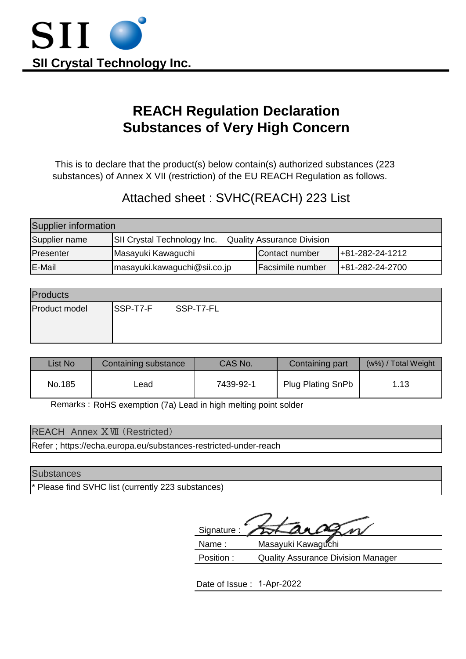

# **REACH Regulation Declaration Substances of Very High Concern**

 This is to declare that the product(s) below contain(s) authorized substances (223 substances) of Annex X VII (restriction) of the EU REACH Regulation as follows.

## Attached sheet : SVHC(REACH) 223 List

| Supplier information |                                    |                                   |                         |  |  |
|----------------------|------------------------------------|-----------------------------------|-------------------------|--|--|
| Supplier name        | <b>SII Crystal Technology Inc.</b> | <b>Quality Assurance Division</b> |                         |  |  |
| Presenter            | Masayuki Kawaguchi                 | Contact number                    | $ +81-282-24-1212$      |  |  |
| <b>E-Mail</b>        | $\{$ masayuki.kawaguchi@sii.co.jp  | <b>Facsimile number</b>           | $+81 - 282 - 24 - 2700$ |  |  |

| Products      |                    |  |  |  |
|---------------|--------------------|--|--|--|
| Product model | SSP-T7-F SSP-T7-FL |  |  |  |

| List No | Containing substance | CAS No.<br>Containing part |                          | (w%) / Total Weight |
|---------|----------------------|----------------------------|--------------------------|---------------------|
| No.185  | ∟ead                 | 7439-92-1                  | <b>Plug Plating SnPb</b> | 1.13                |

Remarks: RoHS exemption (7a) Lead in high melting point solder

| <b>REACH Annex XVII (Restricted)</b>                            |
|-----------------------------------------------------------------|
| Refer; https://echa.europa.eu/substances-restricted-under-reach |

#### **Substances**

Please find SVHC list (currently 223 substances)

 Signature : Name : Masayuki Kawaguchi

 Position : Quality Assurance Division Manager

Date of Issue : 1-Apr-2022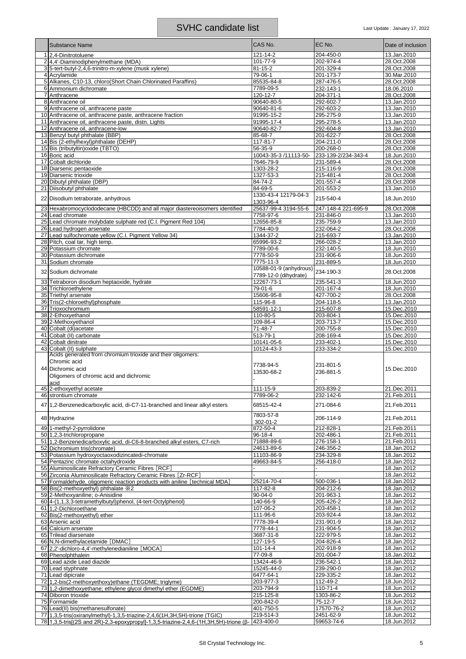| <b>Substance Name</b>                                                                                                                                                       | CAS No.                  | EC No.                  | Date of inclusion          |
|-----------------------------------------------------------------------------------------------------------------------------------------------------------------------------|--------------------------|-------------------------|----------------------------|
| 1 2,4-Dinitrotoluene                                                                                                                                                        | 121-14-2                 | 204-450-0               | 13.Jan.2010                |
| 2.4.4'-Diaminodiphenvlmethane (MDA)                                                                                                                                         | 101-77-9                 | 202-974-4               | 28.Oct.2008                |
| 3 5-tert-butyl-2,4,6-trinitro-m-xylene (musk xylene)                                                                                                                        | $81 - 15 - 2$            | 201-329-4               | 28.Oct.2008                |
| 4 Acrylamide                                                                                                                                                                | 79-06-1                  | 201-173-7               | 30.Mar.2010                |
| 5 Alkanes, C10-13, chloro(Short Chain Chlorinated Paraffins)                                                                                                                | 85535-84-8               | 287-476-5               | 28.Oct.2008                |
| 6 Ammonium dichromate                                                                                                                                                       | 7789-09-5                | 232-143-1               | 18.06.2010                 |
| 7 Anthracene<br>8 Anthracene oil                                                                                                                                            | 120-12-7<br>90640-80-5   | 204-371-1<br>292-602-7  | 28.Oct.2008<br>13.Jan.2010 |
| 9 Anthracene oil, anthracene paste                                                                                                                                          | 90640-81-6               | 292-603-2               | 13.Jan.2010                |
| 10 Anthracene oil, anthracene paste, anthracene fraction                                                                                                                    | 91995-15-2               | 295-275-9               | 13.Jan.2010                |
| 11 Anthracene oil, anthracene paste, distn. Lights                                                                                                                          | 91995-17-4               | 295-278-5               | 13.Jan.2010                |
| 12 Anthracene oil, anthracene-low                                                                                                                                           | 90640-82-7               | 292-604-8               | 13.Jan.2010                |
| 13 Benzyl butyl phthalate (BBP)                                                                                                                                             | 85-68-7                  | 201-622-7               | 28.Oct.2008                |
| 14 Bis (2-ethylhexyl)phthalate (DEHP)                                                                                                                                       | 117-81-7                 | 204-211-0               | 28.Oct.2008                |
| 15 Bis (tributyltin) oxide (TBTO)                                                                                                                                           | 56-35-9                  | 200-268-0               | 28.Oct.2008                |
| 16 Boric acid                                                                                                                                                               | 10043-35-3 /11113-50-    | 233-139-2/234-343-4     | 18.Jun.2010                |
| 17 Cobalt dichloride                                                                                                                                                        | 7646-79-9                | 231-589-4               | 28.Oct.2008                |
| 18 Diarsenic pentaoxide<br>19 Diarsenic trioxide                                                                                                                            | 1303-28-2<br>1327-53-3   | 215-116-9<br>215-481-4  | 28.Oct.2008<br>28.Oct.2008 |
| 20 Dibutyl phthalate (DBP)                                                                                                                                                  | 84-74-2                  | 201-557-4               | 28.Oct.2008                |
| 21 Diisobutyl phthalate                                                                                                                                                     | 84-69-5                  | 201-553-2               | 13.Jan.2010                |
|                                                                                                                                                                             | 1330-43-4 12179-04-3     |                         |                            |
| 22 Disodium tetraborate, anhydrous                                                                                                                                          | 1303-96-4                | 215-540-4               | 18.Jun.2010                |
| 23 Hexabromocyclododecane (HBCDD) and all major diastereoisomers identified                                                                                                 | 25637-99-4 3194-55-6     | 247-148-4 221-695-9     | 28.Oct.2008                |
| 24 Lead chromate                                                                                                                                                            | 7758-97-6                | 231-846-0               | 13.Jan.2010                |
| 25 Lead chromate molybdate sulphate red (C.I. Pigment Red 104)                                                                                                              | 12656-85-8               | 235-759-9               | 13.Jan.2010                |
| 26 Lead hydrogen arsenate                                                                                                                                                   | 7784-40-9                | 232-064-2               | 28.Oct.2008                |
| 27 Lead sulfochromate yellow (C.I. Pigment Yellow 34)<br>28 Pitch, coal tar, high temp.                                                                                     | 1344-37-2<br>65996-93-2  | 215-693-7<br>266-028-2  | 13.Jan.2010<br>13.Jan.2010 |
| 29 Potassium chromate                                                                                                                                                       | 7789-00-6                | 232-140-5               | 18.Jun.2010                |
| 30 Potassium dichromate                                                                                                                                                     | 7778-50-9                | 231-906-6               | 18.Jun.2010                |
| 31 Sodium chromate                                                                                                                                                          | 7775-11-3                | 231-889-5               | 18.Jun.2010                |
| 32 Sodium dichromate                                                                                                                                                        | 10588-01-9 (anhydrous)   | 234-190-3               | 28.Oct.2008                |
|                                                                                                                                                                             | 7789-12-0 (dihydrate)    |                         |                            |
| 33 Tetraboron disodium heptaoxide, hydrate                                                                                                                                  | 12267-73-1               | 235-541-3               | 18.Jun.2010                |
| 34 Trichloroethylene                                                                                                                                                        | 79-01-6                  | 201-167-4               | 18.Jun.2010                |
| 35 Triethyl arsenate                                                                                                                                                        | 15606-95-8               | 427-700-2               | 28.Oct.2008                |
| 36 Tris(2-chloroethyl)phosphate<br>37 Trioxochromium                                                                                                                        | 115-96-8<br>58591-12-1   | 204-118-5<br>215-607-8  | 13.Jan.2010<br>15.Dec.2010 |
| 38 2-Ethoxyethanol                                                                                                                                                          | 110-80-5                 | 203-804-1               | 15.Dec.2010                |
| 39 2-Methoxyethanol                                                                                                                                                         | 109-86-4                 | 203-713-7               | 15.Dec.2010                |
| 40 Cobalt (di)acetate                                                                                                                                                       | 71-48-7                  | 200-755-8               | 15.Dec.2010                |
| 41 Cobalt (II) carbonate                                                                                                                                                    | 513-79-1                 | 208-169-4               | 15.Dec.2010                |
| 42 Cobalt dinitrate                                                                                                                                                         | 10141-05-6               | 233-402-1               | 15.Dec.2010                |
| 43 Cobalt (II) sulphate<br>Acids generated from chromium trioxide and their oligomers:                                                                                      | 10124-43-3               | 233-334-2               | 15.Dec.2010                |
| Chromic acid                                                                                                                                                                |                          |                         |                            |
| 44 Dichromic acid                                                                                                                                                           | 7738-94-5<br>13530-68-2  | 231-801-5<br>236-881-5  | 15.Dec.2010                |
| Oligomers of chromic acid and dichromic                                                                                                                                     |                          |                         |                            |
| acid                                                                                                                                                                        |                          |                         |                            |
| 45 2-ethoxyethyl acetate<br>46 strontium chromate                                                                                                                           | 111-15-9<br>7789-06-2    | 203-839-2<br>232-142-6  | 21.Dec.2011<br>21.Feb.2011 |
|                                                                                                                                                                             |                          |                         |                            |
| 47 1,2-Benzenedicarboxylic acid, di-C7-11-branched and linear alkyl esters                                                                                                  | 68515-42-4               | 271-084-6               | 21.Feb.2011                |
| 48 Hydrazine                                                                                                                                                                | 7803-57-8                | 206-114-9               | 21.Feb.2011                |
|                                                                                                                                                                             | 302-01-2                 |                         |                            |
| 49 1-methyl-2-pyrrolidone                                                                                                                                                   | 872-50-4                 | 212-828-1               | 21.Feb.2011                |
| 50 1.2,3-trichloropropane                                                                                                                                                   | 96-18-4                  | 202-486-1               | 21.Feb.2011                |
| 51 1,2-Benzenedicarboxylic acid, di-C6-8-branched alkyl esters, C7-rich<br>52 Dichromium tris(chromate)                                                                     | 71888-89-6<br>24613-89-6 | 276-158-1<br>246-356-2  | 21.Feb.2011<br>18.Jan.2012 |
| 53 Potassium hydroxyoctaoxodizincatedi-chromate                                                                                                                             | 11103-86-9               | 234-329-8               | 18.Jan.2012                |
| 54 Pentazinc chromate octahydroxide                                                                                                                                         | 49663-84-5               | 256-418-0               | 18.Jan.2012                |
| 55 Aluminosilicate Refractory Ceramic Fibres [RCF]                                                                                                                          |                          |                         | 18.Jan.2012                |
| 56 Zirconia Aluminosilicate Refractory Ceramic Fibres [Zr-RCF]                                                                                                              |                          |                         | 18.Jan.2012                |
| 57 Formaldehyde, oligomeric reaction products with aniline [technical MDA]                                                                                                  | 25214-70-4               | 500-036-1               | 18.Jan.2012                |
| 58 Bis(2-methoxyethyl) phthalate $\frac{1}{2}$ 2                                                                                                                            | 117-82-8                 | 204-212-6               | 18.Jan.2012                |
| 59 2-Methoxyaniline; o-Anisidine                                                                                                                                            | 90-04-0                  | 201-963-1               | 18.Jan.2012                |
| 60 4-(1,1,3,3-tetramethylbutyl)phenol, (4-tert-Octylphenol)<br>61 1,2-Dichloroethane                                                                                        | 140-66-9<br>107-06-2     | 205-426-2<br>203-458-1  | 18.Jan.2012<br>18.Jan.2012 |
| 62 Bis(2-methoxyethyl) ether                                                                                                                                                | 111-96-6                 | 203-924-4               | 18.Jan.2012                |
| 63 Arsenic acid                                                                                                                                                             | 7778-39-4                | 231-901-9               | 18.Jan.2012                |
| 64 Calcium arsenate                                                                                                                                                         | 7778-44-1                | 231-904-5               | 18.Jan.2012                |
| 65 Trilead diarsenate                                                                                                                                                       | 3687-31-8                | 222-979-5               | 18.Jan.2012                |
| 66 N,N-dimethylacetamide [DMAC]                                                                                                                                             | 127-19-5                 | 204-826-4               | 18.Jan.2012                |
| 67 2,2'-dichloro-4,4'-methylenedianiline [MOCA]                                                                                                                             | $101 - 14 - 4$           | 202-918-9               | 18.Jan.2012                |
| 68 Phenolphthalein                                                                                                                                                          | 77-09-8<br>13424-46-9    | 201-004-7<br>236-542-1  | 18.Jan.2012<br>18.Jan.2012 |
| 69 Lead azide Lead diazide<br>70 Lead styphnate                                                                                                                             | 15245-44-0               | 239-290-0               | 18.Jan.2012                |
| 71 Lead dipicrate                                                                                                                                                           | 6477-64-1                | 229-335-2               | 18.Jan.2012                |
| 72 1,2-bis(2-methoxyethoxy)ethane (TEGDME; triglyme)                                                                                                                        | 203-977-3                | 112-49-2                | 18.Jun.2012                |
| 73 1,2-dimethoxyethane; ethylene glycol dimethyl ether (EGDME)                                                                                                              | 203-794-9                | $110 - 71 - 4$          | 18.Jun.2012                |
| 74 Diboron trioxide                                                                                                                                                         | 215-125-8                | 1303-86-2               | 18.Jun.2012                |
| 75 Formamide                                                                                                                                                                | 200-842-0                | 75-12-7                 | 18.Jun.2012                |
| 76 Lead(II) bis(methanesulfonate)                                                                                                                                           | 401-750-5                | 17570-76-2              | 18.Jun.2012                |
| 77 1,3,5-tris(oxiranylmethyl)-1,3,5-triazine-2,4,6(1H,3H,5H)-trione (TGIC)<br>78 1,3,5-tris[(2S and 2R)-2,3-epoxypropyl]-1,3,5-triazine-2,4,6-(1H,3H,5H)-trione ( $\beta$ - | 219-514-3<br>423-400-0   | 2451-62-9<br>59653-74-6 | 18.Jun.2012<br>18.Jun.2012 |
|                                                                                                                                                                             |                          |                         |                            |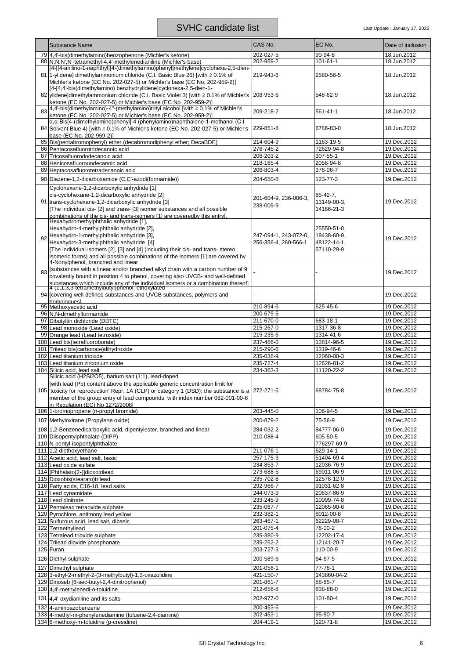|     | <b>Substance Name</b>                                                                                                                                                                                                                                                                                                     | CAS No.               | EC No.         | Date of inclusion |
|-----|---------------------------------------------------------------------------------------------------------------------------------------------------------------------------------------------------------------------------------------------------------------------------------------------------------------------------|-----------------------|----------------|-------------------|
|     | 79 4,4'-bis(dimethylamino)benzophenone (Michler's ketone)                                                                                                                                                                                                                                                                 | 202-027-5             | 90-94-8        | 18.Jun.2012       |
|     | 80 N, N, N', N'-tetramethyl-4, 4'-methylenedianiline (Michler's base)                                                                                                                                                                                                                                                     | 202-959-2             | 101-61-1       | 18.Jun.2012       |
|     | [4-[[4-anilino-1-naphthyl][4-(dimethylamino)phenyl]methylene]cyclohexa-2,5-dien-<br>81 1-ylidene] dimethylammonium chloride (C.I. Basic Blue 26) [with ≥ 0.1% of<br>Michler's ketone (EC No. 202-027-5) or Michler's base (EC No. 202-959-2)]                                                                             | 219-943-6             | 2580-56-5      | 18.Jun.2012       |
|     | [4-[4,4'-bis(dimethylamino) benzhydrylidene]cyclohexa-2,5-dien-1-<br>82 ylidene]dimethylammonium chloride (C.I. Basic Violet 3) [with ≥ 0.1% of Michler's<br>ketone (EC No. 202-027-5) or Michler's base (EC No. 202-959-2)]                                                                                              | 208-953-6             | 548-62-9       | 18.Jun.2012       |
| 83  | 4,4'-bis(dimethylamino)-4"-(methylamino)trityl alcohol [with ≥ 0.1% of Michler's<br>ketone (EC No. 202-027-5) or Michler's base (EC No. 202-959-2)]                                                                                                                                                                       | 209-218-2             | $561 - 41 - 1$ | 18.Jun.2012       |
|     | a, a-Bis[4-(dimethylamino)phenyl]-4 (phenylamino)naphthalene-1-methanol (C.I.<br>84 Solvent Blue 4) [with ≥ 0.1% of Michler's ketone (EC No. 202-027-5) or Michler's<br>base (EC No. 202-959-2)]                                                                                                                          | 229-851-8             | 6786-83-0      | 18.Jun.2012       |
|     | 85 Bis(pentabromophenyl) ether (decabromodiphenyl ether; DecaBDE)                                                                                                                                                                                                                                                         | 214-604-9             | 1163-19-5      | 19.Dec.2012       |
|     | 86 Pentacosafluorotridecanoic acid                                                                                                                                                                                                                                                                                        | 276-745-2             | 72629-94-8     | 19.Dec.2012       |
|     | 87 Tricosafluorododecanoic acid                                                                                                                                                                                                                                                                                           | 206-203-2             | 307-55-1       | 19.Dec.2012       |
|     | 88 Henicosafluoroundecanoic acid                                                                                                                                                                                                                                                                                          | 218-165-4             | 2058-94-8      | 19.Dec.2012       |
| 89  | Heptacosafluorotetradecanoic acid                                                                                                                                                                                                                                                                                         | 206-803-4             | 376-06-7       | 19.Dec.2012       |
|     | 90 Diazene-1,2-dicarboxamide (C,C'-azodi(formamide))                                                                                                                                                                                                                                                                      | 204-650-8             | 123-77-3       | 19.Dec.2012       |
|     | Cyclohexane-1,2-dicarboxylic anhydride [1]                                                                                                                                                                                                                                                                                |                       |                |                   |
|     | cis-cyclohexane-1,2-dicarboxylic anhydride [2]                                                                                                                                                                                                                                                                            |                       | 85-42-7.       |                   |
|     | 91 trans-cyclohexane-1,2-dicarboxylic anhydride [3]                                                                                                                                                                                                                                                                       | 201-604-9, 236-086-3, | 13149-00-3.    | 19.Dec.2012       |
|     | [The individual cis- [2] and trans- [3] isomer substances and all possible                                                                                                                                                                                                                                                | 238-009-9             | 14166-21-3     |                   |
|     | combinations of the cis- and trans-isomers [1] are coveredby this entry].                                                                                                                                                                                                                                                 |                       |                |                   |
|     | Hexahydromethylphthalic anhydride [1],                                                                                                                                                                                                                                                                                    |                       |                |                   |
|     | Hexahydro-4-methylphthalic anhydride [2],                                                                                                                                                                                                                                                                                 |                       | 25550-51-0,    |                   |
| 92  | Hexahydro-1-methylphthalic anhydride [3],                                                                                                                                                                                                                                                                                 | 247-094-1.243-072-0.  | 19438-60-9,    | 19.Dec.2012       |
|     | Hexahydro-3-methylphthalic anhydride [4]                                                                                                                                                                                                                                                                                  | 256-356-4. 260-566-1  | 48122-14-1,    |                   |
|     | [The individual isomers [2], [3] and [4] (including their cis- and trans- stereo                                                                                                                                                                                                                                          |                       | 57110-29-9     |                   |
|     | isomeric forms) and all possible combinations of the isomers [1] are covered by                                                                                                                                                                                                                                           |                       |                |                   |
|     | 4-Nonylphenol, branched and linear                                                                                                                                                                                                                                                                                        |                       |                |                   |
|     | 93 [Substances with a linear and/or branched alkyl chain with a carbon number of 9                                                                                                                                                                                                                                        |                       |                | 19.Dec.2012       |
|     | covalently bound in position 4 to phenol, covering also UVCB- and well-defined                                                                                                                                                                                                                                            |                       |                |                   |
|     | substances which include any of the individual isomers or a combination thereof]<br>4-(1,1,3,3-tetramethylbutyl)phenol, ethoxylated                                                                                                                                                                                       |                       |                |                   |
|     | 94 Covering well-defined substances and UVCB substances, polymers and                                                                                                                                                                                                                                                     |                       |                | 19.Dec.2012       |
|     | homologues1                                                                                                                                                                                                                                                                                                               |                       |                |                   |
|     | 95 Methoxyacetic acid                                                                                                                                                                                                                                                                                                     | 210-894-6             | 625-45-6       | 19.Dec.2012       |
| 96  | N,N-dimethylformamide                                                                                                                                                                                                                                                                                                     | 200-679-5             |                | 19.Dec.2012       |
| 97  | Dibutyltin dichloride (DBTC)                                                                                                                                                                                                                                                                                              | 211-670-0             | 683-18-1       | 19.Dec.2012       |
| 98  | Lead monoxide (Lead oxide)                                                                                                                                                                                                                                                                                                | 215-267-0             | 1317-36-8      | 19.Dec.2012       |
| 99  | Orange lead (Lead tetroxide)                                                                                                                                                                                                                                                                                              | 215-235-6             | 1314-41-6      | 19.Dec.2012       |
|     | 100 Lead bis(tetrafluoroborate)                                                                                                                                                                                                                                                                                           | 237-486-0             | 13814-96-5     | 19.Dec.2012       |
| 101 | Trilead bis(carbonate)dihydroxide                                                                                                                                                                                                                                                                                         | 215-290-6             | 1319-46-6      | 19.Dec.2012       |
| 102 | Lead titanium trioxide                                                                                                                                                                                                                                                                                                    | 235-038-9             | 12060-00-3     | 19.Dec.2012       |
| 103 | Lead titanium zirconium oxide                                                                                                                                                                                                                                                                                             | 235-727-4             | 12626-81-2     | 19.Dec.2012       |
| 104 | Silicic acid, lead salt                                                                                                                                                                                                                                                                                                   | 234-363-3             | 11120-22-2     | 19.Dec.2012       |
|     | Silicic acid (H2Si2O5), barium salt (1:1), lead-doped<br>[with lead (Pb) content above the applicable generic concentration limit for<br>105   toxicity for reproduction' Repr. 1A (CLP) or category 1 (DSD); the substance is a 272-271-5<br>member of the group entry of lead compounds, with index number 082-001-00-6 |                       | 68784-75-8     | 19.Dec.2012       |
|     | in Regulation (EC) No 1272/2008]<br>106 1-bromopropane (n-propyl bromide)                                                                                                                                                                                                                                                 | 203-445-0             | 106-94-5       | 19.Dec.2012       |
|     |                                                                                                                                                                                                                                                                                                                           |                       |                |                   |
|     | 107 Methyloxirane (Propylene oxide)                                                                                                                                                                                                                                                                                       | 200-879-2             | 75-56-9        | 19.Dec.2012       |
|     | 108 1,2-Benzenedicarboxylic acid, dipentylester, branched and linear                                                                                                                                                                                                                                                      | 284-032-2             | 84777-06-0     | 19.Dec.2012       |
|     | 109 Diisopentylphthalate (DIPP)                                                                                                                                                                                                                                                                                           | 210-088-4             | 605-50-5       | 19.Dec.2012       |
|     | 110 N-pentyl-isopentylphthalate                                                                                                                                                                                                                                                                                           |                       | 776297-69-9    | 19.Dec.2012       |
|     | 111 1,2-diethoxyethane                                                                                                                                                                                                                                                                                                    | 211-076-1             | 629-14-1       | 19.Dec.2012       |
|     | 112 Acetic acid, lead salt, basic                                                                                                                                                                                                                                                                                         | 257-175-3             | 51404-69-4     | 19.Dec.2012       |
|     | 113 Lead oxide sulfate                                                                                                                                                                                                                                                                                                    | 234-853-7             | 12036-76-9     | 19.Dec.2012       |
|     | 114 [Phthalato(2-)]dioxotrilead                                                                                                                                                                                                                                                                                           | 273-688-5             | 69011-06-9     | 19.Dec.2012       |
|     | 115 Dioxobis(stearato)trilead                                                                                                                                                                                                                                                                                             | 235-702-8             | 12578-12-0     | 19.Dec.2012       |
|     | 116 Fatty acids, C16-18, lead salts                                                                                                                                                                                                                                                                                       | 292-966-7             | 91031-62-8     | 19.Dec.2012       |
|     | 117 Lead cynamidate                                                                                                                                                                                                                                                                                                       | 244-073-9             | 20837-86-9     | 19.Dec.2012       |
|     | 118 Lead dinitrate                                                                                                                                                                                                                                                                                                        | 233-245-9             | 10099-74-8     | 19.Dec.2012       |
|     | 119 Pentalead tetraoxide sulphate                                                                                                                                                                                                                                                                                         | 235-067-7             | 12065-90-6     | 19.Dec.2012       |
|     | 120 Pyrochlore, antimony lead yellow                                                                                                                                                                                                                                                                                      | 232-382-1             | 8012-00-8      | 19.Dec.2012       |
|     | 121 Sulfurous acid, lead salt, dibasic                                                                                                                                                                                                                                                                                    | 263-467-1             | 62229-08-7     | 19.Dec.2012       |
|     | 122 Tetraethyllead                                                                                                                                                                                                                                                                                                        | 201-075-4             | $78-00-2$      | 19.Dec.2012       |
|     | 123 Tetralead trioxide sulphate                                                                                                                                                                                                                                                                                           | 235-380-9             | 12202-17-4     | 19.Dec.2012       |
|     | 124 Trilead dioxide phosphonate                                                                                                                                                                                                                                                                                           | 235-252-2             | 12141-20-7     | 19.Dec.2012       |
|     | $\overline{125}$ Furan                                                                                                                                                                                                                                                                                                    | 203-727-3             | 110-00-9       | 19.Dec.2012       |
|     | 126 Diethyl sulphate                                                                                                                                                                                                                                                                                                      | 200-589-6             | 64-67-5        | 19.Dec.2012       |
|     | 127 Dimethyl sulphate                                                                                                                                                                                                                                                                                                     | $201 - 058 - 1$       | 77-78-1        | 19.Dec.2012       |
|     | 128 3-ethyl-2-methyl-2-(3-methylbutyl)-1,3-oxazolidine                                                                                                                                                                                                                                                                    | 421-150-7             | 143860-04-2    | 19.Dec.2012       |
|     | 129 Dinoseb (6-sec-butyl-2,4-dinitrophenol)                                                                                                                                                                                                                                                                               | 201-861-7             | 88-85-7        | 19.Dec.2012       |
|     | 130 4,4'-methylenedi-o-toluidine                                                                                                                                                                                                                                                                                          | 212-658-8             | 838-88-0       | 19.Dec.2012       |
|     |                                                                                                                                                                                                                                                                                                                           |                       |                |                   |
|     | 131 4,4'-oxydianiline and its salts                                                                                                                                                                                                                                                                                       | 202-977-0             | 101-80-4       | 19.Dec.2012       |
|     | 132 4-aminoazobenzene                                                                                                                                                                                                                                                                                                     | 200-453-6             |                | 19.Dec.2012       |
|     | 133 4-methyl-m-phenylenediamine (toluene-2,4-diamine)                                                                                                                                                                                                                                                                     | 202-453-1             | 95-80-7        | 19.Dec.2012       |
|     | 134 6-methoxy-m-toluidine (p-cresidine)                                                                                                                                                                                                                                                                                   | 204-419-1             | 120-71-8       | 19.Dec.2012       |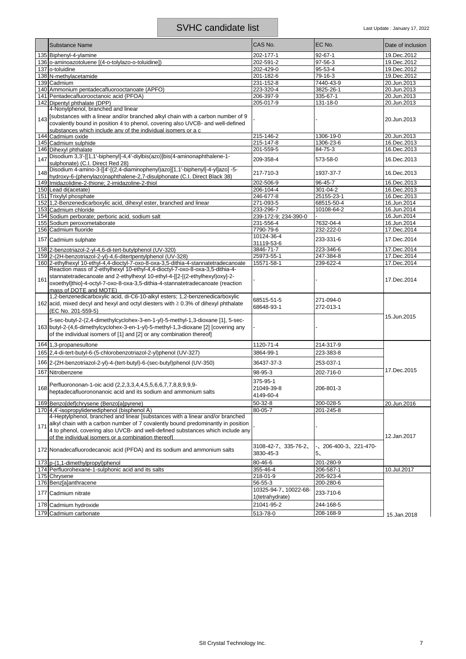|     | <b>Substance Name</b>                                                                                                                                                                                                                                                                                     | CAS No.                             | EC No.                               | Date of inclusion |
|-----|-----------------------------------------------------------------------------------------------------------------------------------------------------------------------------------------------------------------------------------------------------------------------------------------------------------|-------------------------------------|--------------------------------------|-------------------|
|     | 135 Biphenyl-4-ylamine                                                                                                                                                                                                                                                                                    | 202-177-1                           | 92-67-1                              | 19.Dec.2012       |
|     | 136 o-aminoazotoluene [(4-o-tolylazo-o-toluidine])                                                                                                                                                                                                                                                        | 202-591-2                           | 97-56-3                              | 19.Dec.2012       |
|     | 137 o-toluidine                                                                                                                                                                                                                                                                                           | 202-429-0                           | 95-53-4                              | 19.Dec.2012       |
|     | 138 N-methylacetamide                                                                                                                                                                                                                                                                                     | 201-182-6                           | 79-16-3                              | 19.Dec.2012       |
|     | 139 Cadmium                                                                                                                                                                                                                                                                                               | 231-152-8                           | 7440-43-9                            | 20.Jun.2013       |
|     | 140 Ammonium pentadecafluorooctanoate (APFO)                                                                                                                                                                                                                                                              | 223-320-4                           | 3825-26-1                            | 20.Jun.2013       |
|     | 141 Pentadecafluorooctanoic acid (PFOA)                                                                                                                                                                                                                                                                   | 206-397-9                           | 335-67-1                             | 20.Jun.2013       |
|     | 142 Dipentyl phthalate (DPP)                                                                                                                                                                                                                                                                              | 205-017-9                           | 131-18-0                             | 20.Jun.2013       |
|     | 4-Nonylphenol, branched and linear                                                                                                                                                                                                                                                                        |                                     |                                      |                   |
| 143 | [substances with a linear and/or branched alkyl chain with a carbon number of 9<br>covalently bound in position 4 to phenol, covering also UVCB- and well-defined<br>substances which include any of the individual isomers or a c                                                                        |                                     |                                      | 20.Jun.2013       |
| 144 | Cadmium oxide                                                                                                                                                                                                                                                                                             | 215-146-2                           | 1306-19-0                            | 20.Jun.2013       |
|     | 145 Cadmium sulphide                                                                                                                                                                                                                                                                                      | 215-147-8                           | 1306-23-6                            | 16.Dec.2013       |
|     | 146 Dihexyl phthalate                                                                                                                                                                                                                                                                                     | 201-559-5                           | 84-75-3                              | 16.Dec.2013       |
| 147 | Disodium 3,3'-[[1,1'-biphenyl]-4,4'-diylbis(azo)]bis(4-aminonaphthalene-1-<br>sulphonate) (C.I. Direct Red 28)                                                                                                                                                                                            | 209-358-4                           | 573-58-0                             | 16.Dec.2013       |
| 148 | Disodium 4-amino-3-[[4'-[(2,4-diaminophenyl)azo][1,1'-biphenyl]-4-yl]azo] -5-<br>hydroxy-6-(phenylazo)naphthalene-2,7-disulphonate (C.I. Direct Black 38)                                                                                                                                                 | 217-710-3                           | 1937-37-7                            | 16.Dec.2013       |
|     | 149 Imidazolidine-2-thione; 2-imidazoline-2-thiol                                                                                                                                                                                                                                                         | 202-506-9                           | 96-45-7                              | 16.Dec.2013       |
|     | 150 Lead di(acetate)                                                                                                                                                                                                                                                                                      | 206-104-4                           | 301-04-2                             | 16.Dec.2013       |
|     | 151 Trixylyl phosphate                                                                                                                                                                                                                                                                                    | 246-677-8                           | 25155-23-1                           | 16.Dec.2013       |
|     | 152 1,2-Benzenedicarboxylic acid, dihexyl ester, branched and linear                                                                                                                                                                                                                                      | 271-093-5                           | 68515-50-4                           | 16.Jun.2014       |
|     | 153 Cadmium chloride                                                                                                                                                                                                                                                                                      | 233-296-7                           | 10108-64-2                           | 16.Jun.2014       |
|     | 154 Sodium perborate; perboric acid, sodium salt                                                                                                                                                                                                                                                          | 239-172-9; 234-390-0                |                                      | 16.Jun.2014       |
|     | 155 Sodium peroxometaborate                                                                                                                                                                                                                                                                               | 231-556-4                           | 7632-04-4                            | 16.Jun.2014       |
|     | 156 Cadmium fluoride                                                                                                                                                                                                                                                                                      | 7790-79-6                           | 232-222-0                            | 17.Dec.2014       |
|     | 157 Cadmium sulphate                                                                                                                                                                                                                                                                                      | 10124-36-4<br>31119-53-6            | 233-331-6                            | 17.Dec.2014       |
|     | 158 2-benzotriazol-2-yl-4,6-di-tert-butylphenol (UV-320)                                                                                                                                                                                                                                                  | 3846-71-7                           | 223-346-6                            | 17.Dec.2014       |
|     | 159 2-(2H-benzotriazol-2-yl)-4,6-ditertpentylphenol (UV-328)                                                                                                                                                                                                                                              | 25973-55-1                          | 247-384-8                            | 17.Dec.2014       |
|     | 160 2-ethylhexyl 10-ethyl-4,4-dioctyl-7-oxo-8-oxa-3,5-dithia-4-stannatetradecanoate                                                                                                                                                                                                                       | 15571-58-1                          | 239-622-4                            | 17.Dec.2014       |
| 161 | Reaction mass of 2-ethylhexyl 10-ethyl-4,4-dioctyl-7-oxo-8-oxa-3,5-dithia-4-<br>stannatetradecanoate and 2-ethylhexyl 10-ethyl-4-[[2-[(2-ethylhexyl)oxy]-2-<br>oxoethyl]thio]-4-octyl-7-oxo-8-oxa-3,5-dithia-4-stannatetradecanoate (reaction<br>mass of DOTE and MOTE)                                   |                                     |                                      | 17.Dec.2014       |
|     | 1,2-benzenedicarboxylic acid, di-C6-10-alkyl esters; 1,2-benzenedicarboxylic<br>162 acid, mixed decyl and hexyl and octyl diesters with $\geq$ 0.3% of dihexyl phthalate<br>(EC No. 201-559-5)                                                                                                            | 68515-51-5<br>68648-93-1            | 271-094-0<br>272-013-1               |                   |
|     | 5-sec-butyl-2-(2,4-dimethylcyclohex-3-en-1-yl)-5-methyl-1,3-dioxane [1], 5-sec-<br>163 butyl-2-(4,6-dimethylcyclohex-3-en-1-yl)-5-methyl-1,3-dioxane [2] [covering any<br>of the individual isomers of [1] and [2] or any combination thereof]                                                            |                                     |                                      | 15.Jun.2015       |
|     | 164 1,3-propanesultone                                                                                                                                                                                                                                                                                    | 1120-71-4                           | 214-317-9                            |                   |
|     | 165 2,4-di-tert-butyl-6-(5-chlorobenzotriazol-2-yl)phenol (UV-327)                                                                                                                                                                                                                                        | 3864-99-1                           | 223-383-8                            |                   |
|     | 166 2-(2H-benzotriazol-2-yl)-4-(tert-butyl)-6-(sec-butyl)phenol (UV-350)                                                                                                                                                                                                                                  | 36437-37-3                          | 253-037-1                            |                   |
| 167 | Nitrobenzene                                                                                                                                                                                                                                                                                              | 98-95-3                             | 202-716-0                            | 17.Dec.2015       |
| 168 | Perfluorononan-1-oic acid (2,2,3,3,4,4,5,5,6,6,7,7,8,8,9,9,9-<br>heptadecafluorononanoic acid and its sodium and ammonium salts                                                                                                                                                                           | 375-95-1<br>21049-39-8<br>4149-60-4 | 206-801-3                            |                   |
|     | 169 Benzoldefichrysene (Benzolalpyrene)                                                                                                                                                                                                                                                                   | $50 - 32 - 8$                       | 200-028-5                            | 20.Jun.2016       |
|     | 170 4,4'-isopropylidenediphenol (bisphenol A)                                                                                                                                                                                                                                                             | 80-05-7                             | 201-245-8                            |                   |
| 171 | 4-Heptylphenol, branched and linear [substances with a linear and/or branched<br>alkyl chain with a carbon number of 7 covalently bound predominantly in position<br>4 to phenol, covering also UVCB- and well-defined substances which include any<br>of the individual isomers or a combination thereof |                                     |                                      | 12.Jan.2017       |
|     | 172 Nonadecafluorodecanoic acid (PFDA) and its sodium and ammonium salts                                                                                                                                                                                                                                  | 3108-42-7、335-76-2、<br>3830-45-3    | 206-400-3、221-470-<br>5 <sub>1</sub> |                   |
|     | 173 p-(1,1-dimethylpropyl)phenol                                                                                                                                                                                                                                                                          | 80-46-6                             | 201-280-9                            |                   |
|     | 174 Perfluorohexane-1-sulphonic acid and its salts                                                                                                                                                                                                                                                        | 355-46-4                            | 206-587-1                            | 10.Jul.2017       |
|     | 175 Chrysene                                                                                                                                                                                                                                                                                              | 218-01-9                            | 205-923-4                            |                   |
|     | 176 Benz[a]anthracene<br>177 Cadmium nitrate                                                                                                                                                                                                                                                              | 56-55-3<br>10325-94-7, 10022-68-    | 200-280-6<br>233-710-6               |                   |
|     | 178 Cadmium hydroxide                                                                                                                                                                                                                                                                                     | 1(tetrahydrate)<br>21041-95-2       | 244-168-5                            |                   |
|     |                                                                                                                                                                                                                                                                                                           |                                     |                                      |                   |
|     | 179 Cadmium carbonate                                                                                                                                                                                                                                                                                     | 513-78-0                            | 208-168-9                            | 15.Jan.2018       |